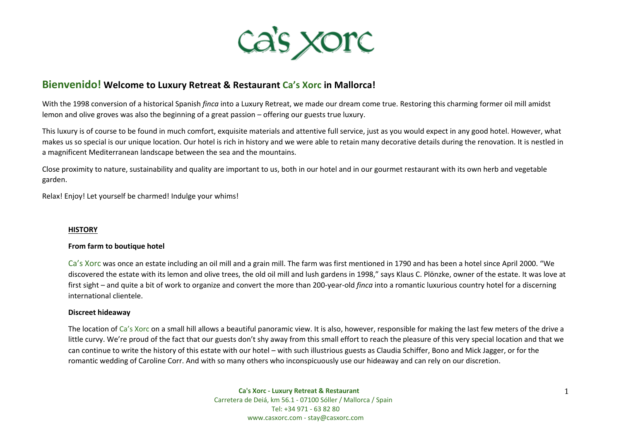

# **Bienvenido! Welcome to Luxury Retreat & Restaurant Ca's Xorc in Mallorca!**

With the 1998 conversion of a historical Spanish *finca* into a Luxury Retreat, we made our dream come true. Restoring this charming former oil mill amidst lemon and olive groves was also the beginning of a great passion – offering our guests true luxury.

This luxury is of course to be found in much comfort, exquisite materials and attentive full service, just as you would expect in any good hotel. However, what makes us so special is our unique location. Our hotel is rich in history and we were able to retain many decorative details during the renovation. It is nestled in a magnificent Mediterranean landscape between the sea and the mountains.

Close proximity to nature, sustainability and quality are important to us, both in our hotel and in our gourmet restaurant with its own herb and vegetable garden.

Relax! Enjoy! Let yourself be charmed! Indulge your whims!

### **HISTORY**

### **From farm to boutique hotel**

Ca's Xorc was once an estate including an oil mill and a grain mill. The farm was first mentioned in 1790 and has been a hotel since April 2000. "We discovered the estate with its lemon and olive trees, the old oil mill and lush gardens in 1998," says Klaus C. Plönzke, owner of the estate. It was love at first sight – and quite a bit of work to organize and convert the more than 200-year-old *finca* into a romantic luxurious country hotel for a discerning international clientele.

#### **Discreet hideaway**

The location of Ca's Xorc on a small hill allows a beautiful panoramic view. It is also, however, responsible for making the last few meters of the drive a little curvy. We're proud of the fact that our guests don't shy away from this small effort to reach the pleasure of this very special location and that we can continue to write the history of this estate with our hotel – with such illustrious guests as Claudia Schiffer, Bono and Mick Jagger, or for the romantic wedding of Caroline Corr. And with so many others who inconspicuously use our hideaway and can rely on our discretion.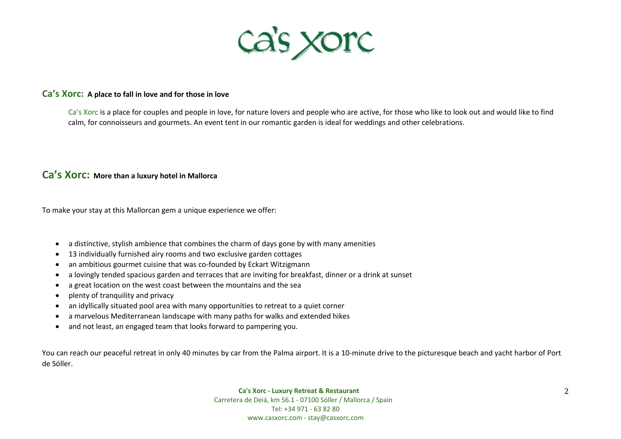

## **Ca's Xorc: A place to fall in love and for those in love**

Ca's Xorc is a place for couples and people in love, for nature lovers and people who are active, for those who like to look out and would like to find calm, for connoisseurs and gourmets. An event tent in our romantic garden is ideal for weddings and other celebrations.

# **Ca's Xorc: More than a luxury hotel in Mallorca**

To make your stay at this Mallorcan gem a unique experience we offer:

- a distinctive, stylish ambience that combines the charm of days gone by with many amenities
- 13 individually furnished airy rooms and two exclusive garden cottages
- an ambitious gourmet cuisine that was co-founded by Eckart Witzigmann
- a lovingly tended spacious garden and terraces that are inviting for breakfast, dinner or a drink at sunset
- a great location on the west coast between the mountains and the sea
- plenty of tranquility and privacy
- an idyllically situated pool area with many opportunities to retreat to a quiet corner
- a marvelous Mediterranean landscape with many paths for walks and extended hikes
- and not least, an engaged team that looks forward to pampering you.

You can reach our peaceful retreat in only 40 minutes by car from the Palma airport. It is a 10-minute drive to the picturesque beach and yacht harbor of Port de Sóller.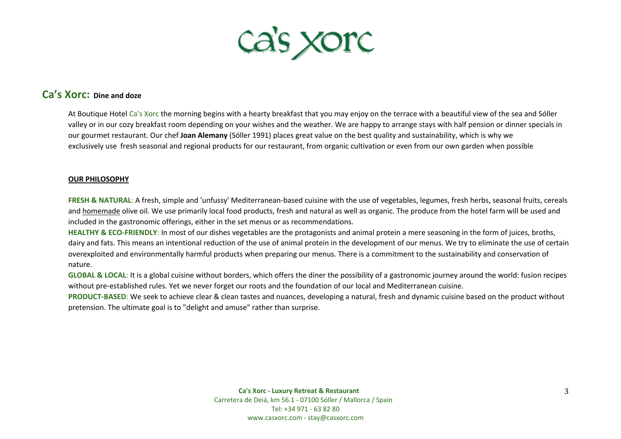

# **Ca's Xorc: Dine and doze**

At Boutique Hotel Ca's Xorc the morning begins with a hearty breakfast that you may enjoy on the terrace with a beautiful view of the sea and Sóller valley or in our cozy breakfast room depending on your wishes and the weather. We are happy to arrange stays with half pension or dinner specials in our gourmet restaurant. Our chef **Joan Alemany** (Sóller 1991) places great value on the best quality and sustainability, which is why we exclusively use fresh seasonal and regional products for our restaurant, from organic cultivation or even from our own garden when possible

### **OUR PHILOSOPHY**

FRESH & NATURAL: A fresh, simple and 'unfussy' Mediterranean-based cuisine with the use of vegetables, legumes, fresh herbs, seasonal fruits, cereals and homemade olive oil. We use primarily local food products, fresh and natural as well as organic. The produce from the hotel farm will be used and included in the gastronomic offerings, either in the set menus or as recommendations.

**HEALTHY & ECO-FRIENDLY**: In most of our dishes vegetables are the protagonists and animal protein a mere seasoning in the form of juices, broths, dairy and fats. This means an intentional reduction of the use of animal protein in the development of our menus. We try to eliminate the use of certain overexploited and environmentally harmful products when preparing our menus. There is a commitment to the sustainability and conservation of nature.

**GLOBAL & LOCAL**: It is a global cuisine without borders, which offers the diner the possibility of a gastronomic journey around the world: fusion recipes without pre-established rules. Yet we never forget our roots and the foundation of our local and Mediterranean cuisine.

**PRODUCT-BASED**: We seek to achieve clear & clean tastes and nuances, developing a natural, fresh and dynamic cuisine based on the product without pretension. The ultimate goal is to "delight and amuse" rather than surprise.